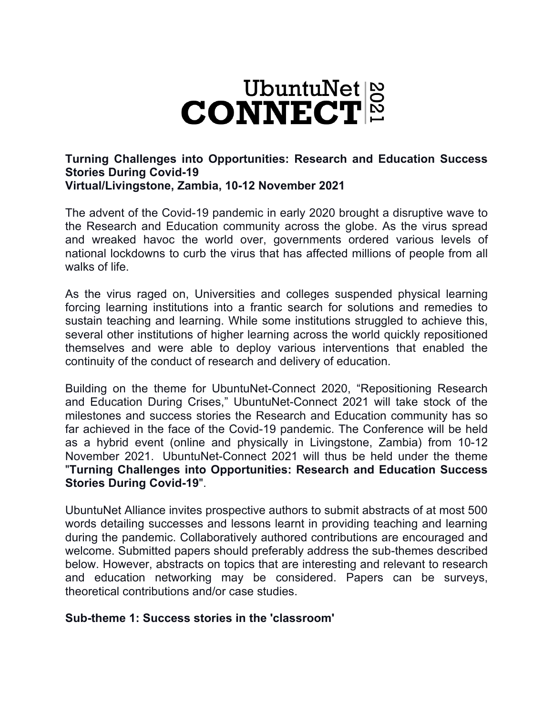

### **Turning Challenges into Opportunities: Research and Education Success Stories During Covid-19 Virtual/Livingstone, Zambia, 10-12 November 2021**

The advent of the Covid-19 pandemic in early 2020 brought a disruptive wave to the Research and Education community across the globe. As the virus spread and wreaked havoc the world over, governments ordered various levels of national lockdowns to curb the virus that has affected millions of people from all walks of life.

As the virus raged on, Universities and colleges suspended physical learning forcing learning institutions into a frantic search for solutions and remedies to sustain teaching and learning. While some institutions struggled to achieve this, several other institutions of higher learning across the world quickly repositioned themselves and were able to deploy various interventions that enabled the continuity of the conduct of research and delivery of education.

Building on the theme for UbuntuNet-Connect 2020, "Repositioning Research and Education During Crises," UbuntuNet-Connect 2021 will take stock of the milestones and success stories the Research and Education community has so far achieved in the face of the Covid-19 pandemic. The Conference will be held as a hybrid event (online and physically in Livingstone, Zambia) from 10-12 November 2021. UbuntuNet-Connect 2021 will thus be held under the theme "**Turning Challenges into Opportunities: Research and Education Success Stories During Covid-19**".

UbuntuNet Alliance invites prospective authors to submit abstracts of at most 500 words detailing successes and lessons learnt in providing teaching and learning during the pandemic. Collaboratively authored contributions are encouraged and welcome. Submitted papers should preferably address the sub-themes described below. However, abstracts on topics that are interesting and relevant to research and education networking may be considered. Papers can be surveys, theoretical contributions and/or case studies.

### **Sub-theme 1: Success stories in the 'classroom'**